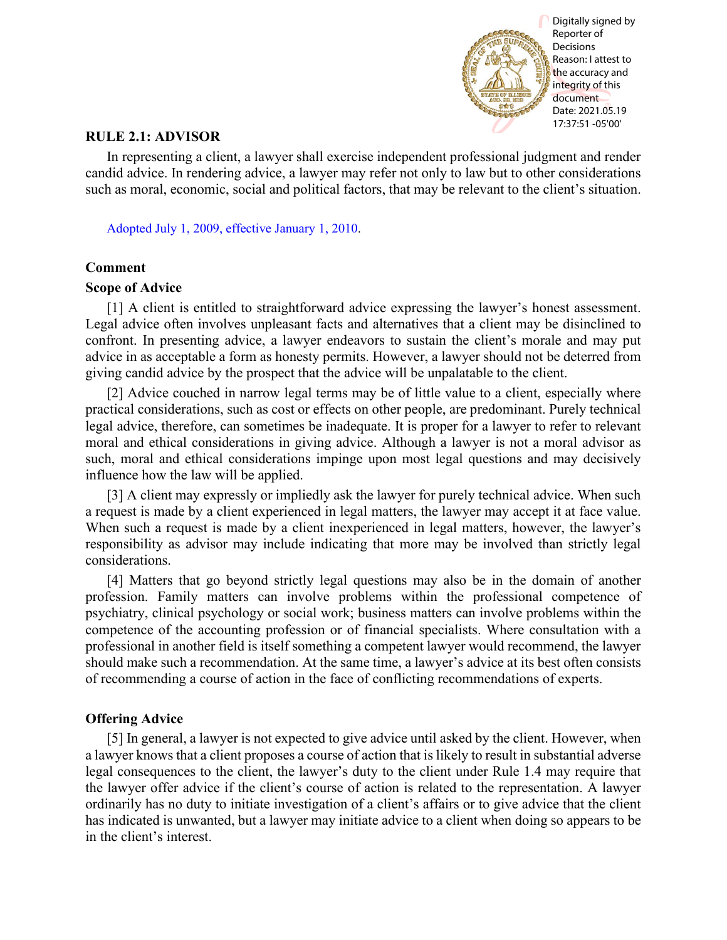

## **RULE 2.1: ADVISOR**

In representing a client, a lawyer shall exercise independent professional judgment and render candid advice. In rendering advice, a lawyer may refer not only to law but to other considerations such as moral, economic, social and political factors, that may be relevant to the client's situation.

[Adopted July 1, 2009, effective January 1, 2010.](http://www.illinoiscourts.gov/files/070109.pdf/amendment)

## **Comment**

## **Scope of Advice**

[1] A client is entitled to straightforward advice expressing the lawyer's honest assessment. Legal advice often involves unpleasant facts and alternatives that a client may be disinclined to confront. In presenting advice, a lawyer endeavors to sustain the client's morale and may put advice in as acceptable a form as honesty permits. However, a lawyer should not be deterred from giving candid advice by the prospect that the advice will be unpalatable to the client.

[2] Advice couched in narrow legal terms may be of little value to a client, especially where practical considerations, such as cost or effects on other people, are predominant. Purely technical legal advice, therefore, can sometimes be inadequate. It is proper for a lawyer to refer to relevant moral and ethical considerations in giving advice. Although a lawyer is not a moral advisor as such, moral and ethical considerations impinge upon most legal questions and may decisively influence how the law will be applied.

[3] A client may expressly or impliedly ask the lawyer for purely technical advice. When such a request is made by a client experienced in legal matters, the lawyer may accept it at face value. When such a request is made by a client inexperienced in legal matters, however, the lawyer's responsibility as advisor may include indicating that more may be involved than strictly legal considerations.

[4] Matters that go beyond strictly legal questions may also be in the domain of another profession. Family matters can involve problems within the professional competence of psychiatry, clinical psychology or social work; business matters can involve problems within the competence of the accounting profession or of financial specialists. Where consultation with a professional in another field is itself something a competent lawyer would recommend, the lawyer should make such a recommendation. At the same time, a lawyer's advice at its best often consists of recommending a course of action in the face of conflicting recommendations of experts.

## **Offering Advice**

[5] In general, a lawyer is not expected to give advice until asked by the client. However, when a lawyer knows that a client proposes a course of action that is likely to result in substantial adverse legal consequences to the client, the lawyer's duty to the client under Rule 1.4 may require that the lawyer offer advice if the client's course of action is related to the representation. A lawyer ordinarily has no duty to initiate investigation of a client's affairs or to give advice that the client has indicated is unwanted, but a lawyer may initiate advice to a client when doing so appears to be in the client's interest.